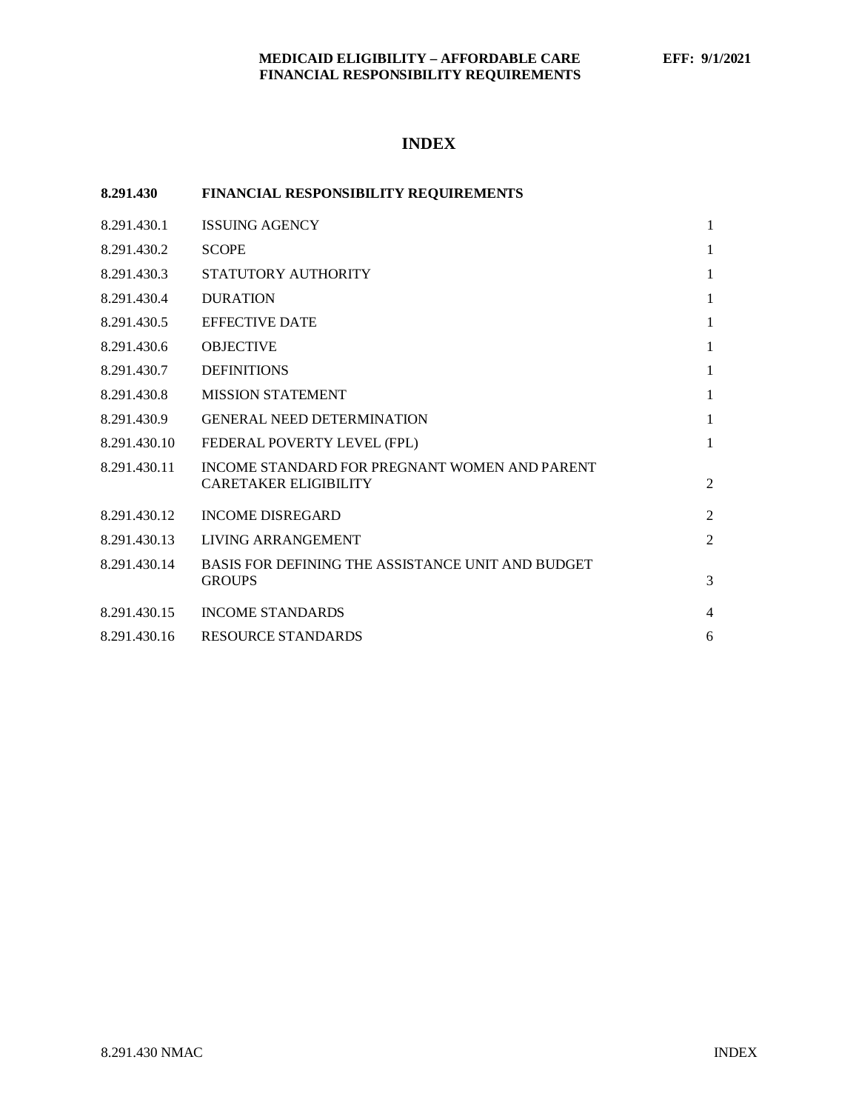# **INDEX**

| 8.291.430    | <b>FINANCIAL RESPONSIBILITY REQUIREMENTS</b>                                  |                |
|--------------|-------------------------------------------------------------------------------|----------------|
| 8.291.430.1  | <b>ISSUING AGENCY</b>                                                         | $\mathbf{1}$   |
| 8.291.430.2  | <b>SCOPE</b>                                                                  | $\mathbf{1}$   |
| 8.291.430.3  | STATUTORY AUTHORITY                                                           | 1              |
| 8.291.430.4  | <b>DURATION</b>                                                               | 1              |
| 8.291.430.5  | <b>EFFECTIVE DATE</b>                                                         | 1              |
| 8.291.430.6  | <b>OBJECTIVE</b>                                                              | 1              |
| 8.291.430.7  | <b>DEFINITIONS</b>                                                            | 1              |
| 8.291.430.8  | <b>MISSION STATEMENT</b>                                                      | 1              |
| 8.291.430.9  | <b>GENERAL NEED DETERMINATION</b>                                             | 1              |
| 8.291.430.10 | FEDERAL POVERTY LEVEL (FPL)                                                   | $\mathbf{1}$   |
| 8.291.430.11 | INCOME STANDARD FOR PREGNANT WOMEN AND PARENT<br><b>CARETAKER ELIGIBILITY</b> | $\overline{2}$ |
| 8.291.430.12 | <b>INCOME DISREGARD</b>                                                       | $\overline{2}$ |
| 8.291.430.13 | LIVING ARRANGEMENT                                                            | 2              |
| 8.291.430.14 | BASIS FOR DEFINING THE ASSISTANCE UNIT AND BUDGET<br><b>GROUPS</b>            | 3              |
| 8.291.430.15 | <b>INCOME STANDARDS</b>                                                       | $\overline{4}$ |
| 8.291.430.16 | <b>RESOURCE STANDARDS</b>                                                     | 6              |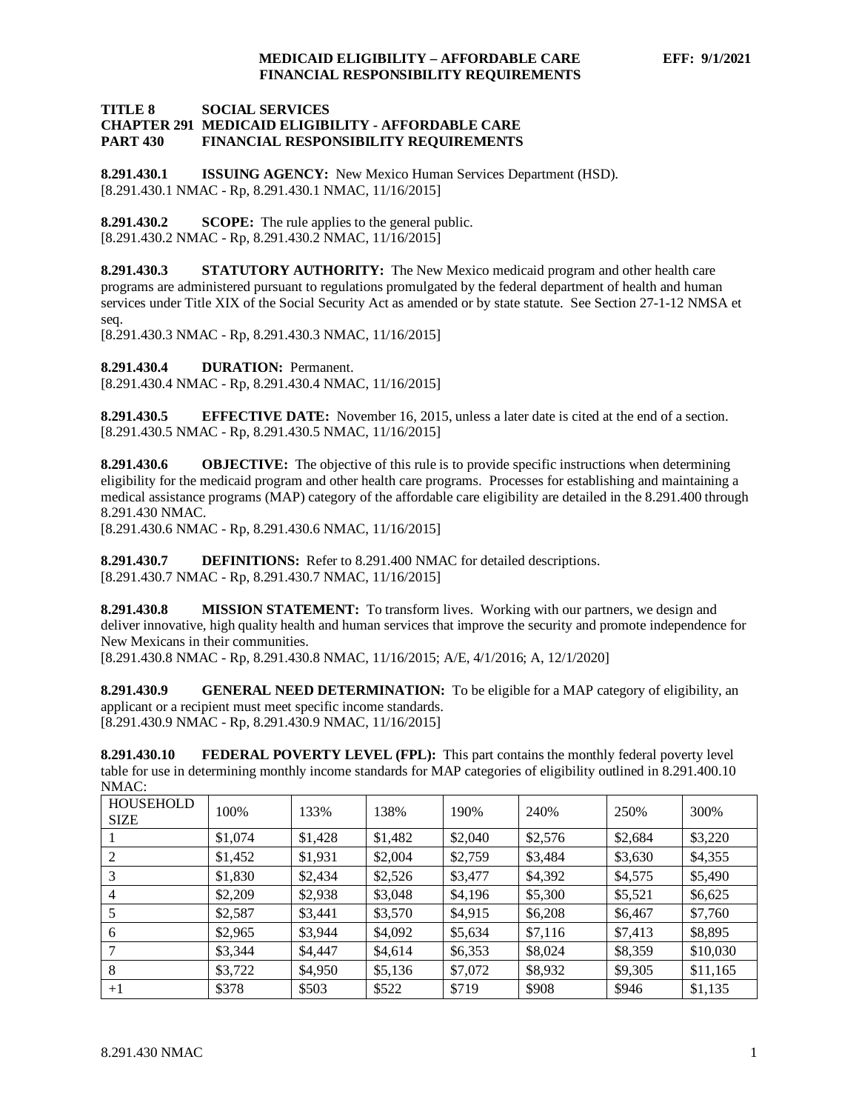#### **TITLE 8 SOCIAL SERVICES CHAPTER 291 MEDICAID ELIGIBILITY - AFFORDABLE CARE PART 430 FINANCIAL RESPONSIBILITY REQUIREMENTS**

<span id="page-1-0"></span>**8.291.430.1 ISSUING AGENCY:** New Mexico Human Services Department (HSD). [8.291.430.1 NMAC - Rp, 8.291.430.1 NMAC, 11/16/2015]

<span id="page-1-1"></span>**8.291.430.2 SCOPE:** The rule applies to the general public. [8.291.430.2 NMAC - Rp, 8.291.430.2 NMAC, 11/16/2015]

<span id="page-1-2"></span>**8.291.430.3 STATUTORY AUTHORITY:** The New Mexico medicaid program and other health care programs are administered pursuant to regulations promulgated by the federal department of health and human services under Title XIX of the Social Security Act as amended or by state statute. See Section 27-1-12 NMSA et seq.

[8.291.430.3 NMAC - Rp, 8.291.430.3 NMAC, 11/16/2015]

<span id="page-1-3"></span>**8.291.430.4 DURATION:** Permanent.

[8.291.430.4 NMAC - Rp, 8.291.430.4 NMAC, 11/16/2015]

<span id="page-1-4"></span>**8.291.430.5 EFFECTIVE DATE:** November 16, 2015, unless a later date is cited at the end of a section. [8.291.430.5 NMAC - Rp, 8.291.430.5 NMAC, 11/16/2015]

<span id="page-1-5"></span>**8.291.430.6 OBJECTIVE:** The objective of this rule is to provide specific instructions when determining eligibility for the medicaid program and other health care programs. Processes for establishing and maintaining a medical assistance programs (MAP) category of the affordable care eligibility are detailed in the 8.291.400 through 8.291.430 NMAC.

[8.291.430.6 NMAC - Rp, 8.291.430.6 NMAC, 11/16/2015]

<span id="page-1-6"></span>**8.291.430.7 DEFINITIONS:** Refer to 8.291.400 NMAC for detailed descriptions. [8.291.430.7 NMAC - Rp, 8.291.430.7 NMAC, 11/16/2015]

<span id="page-1-7"></span>**8.291.430.8 MISSION STATEMENT:** To transform lives. Working with our partners, we design and deliver innovative, high quality health and human services that improve the security and promote independence for New Mexicans in their communities.

[8.291.430.8 NMAC - Rp, 8.291.430.8 NMAC, 11/16/2015; A/E, 4/1/2016; A, 12/1/2020]

<span id="page-1-8"></span>**8.291.430.9 GENERAL NEED DETERMINATION:** To be eligible for a MAP category of eligibility, an applicant or a recipient must meet specific income standards. [8.291.430.9 NMAC - Rp, 8.291.430.9 NMAC, 11/16/2015]

<span id="page-1-9"></span>**8.291.430.10 FEDERAL POVERTY LEVEL (FPL):** This part contains the monthly federal poverty level table for use in determining monthly income standards for MAP categories of eligibility outlined in 8.291.400.10 NMAC:

| <b>HOUSEHOLD</b><br><b>SIZE</b> | 100%    | 133%    | 138%    | 190%    | 240%    | 250%    | 300%     |
|---------------------------------|---------|---------|---------|---------|---------|---------|----------|
|                                 | \$1,074 | \$1,428 | \$1,482 | \$2,040 | \$2,576 | \$2,684 | \$3,220  |
| 2                               | \$1,452 | \$1,931 | \$2,004 | \$2,759 | \$3,484 | \$3,630 | \$4,355  |
| 3                               | \$1,830 | \$2,434 | \$2,526 | \$3,477 | \$4,392 | \$4,575 | \$5,490  |
| 4                               | \$2,209 | \$2,938 | \$3,048 | \$4,196 | \$5,300 | \$5,521 | \$6,625  |
|                                 | \$2,587 | \$3,441 | \$3,570 | \$4,915 | \$6,208 | \$6,467 | \$7,760  |
| 6                               | \$2,965 | \$3,944 | \$4,092 | \$5,634 | \$7,116 | \$7,413 | \$8,895  |
|                                 | \$3,344 | \$4,447 | \$4,614 | \$6,353 | \$8,024 | \$8,359 | \$10,030 |
| 8                               | \$3,722 | \$4,950 | \$5,136 | \$7,072 | \$8,932 | \$9,305 | \$11,165 |
| $+1$                            | \$378   | \$503   | \$522   | \$719   | \$908   | \$946   | \$1,135  |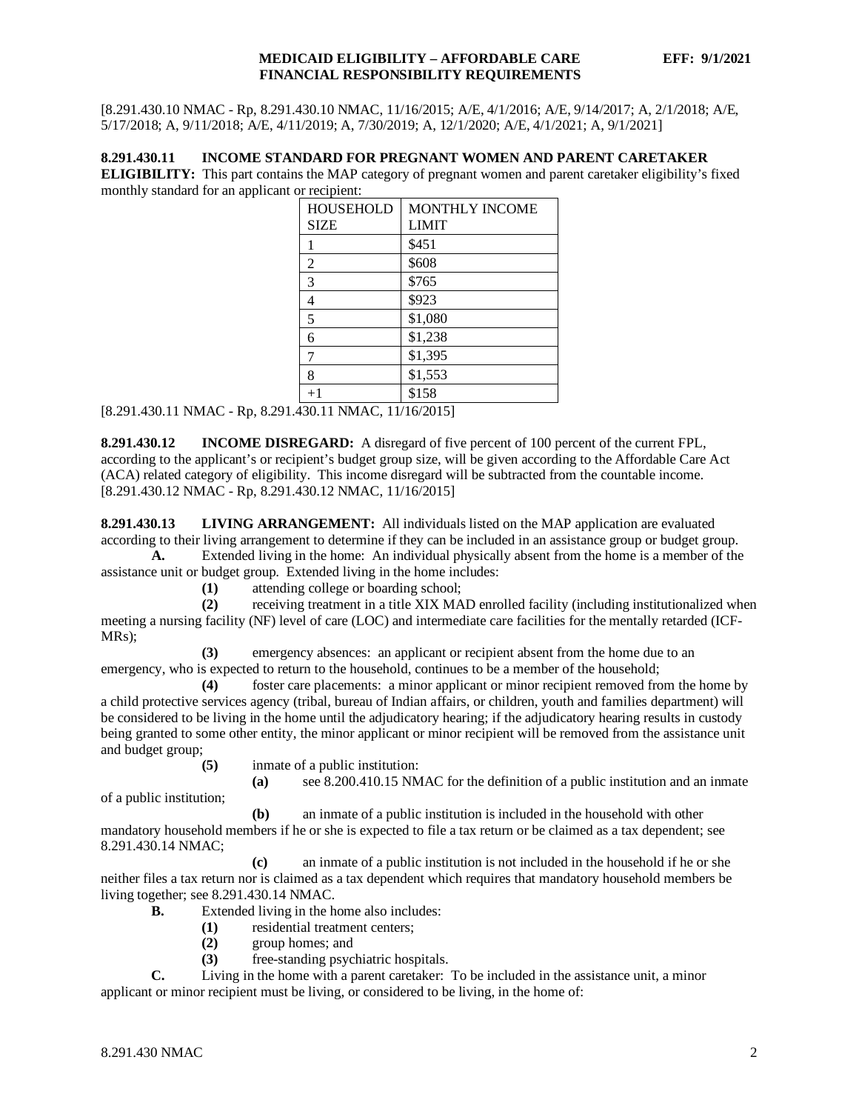[8.291.430.10 NMAC - Rp, 8.291.430.10 NMAC, 11/16/2015; A/E, 4/1/2016; A/E, 9/14/2017; A, 2/1/2018; A/E, 5/17/2018; A, 9/11/2018; A/E, 4/11/2019; A, 7/30/2019; A, 12/1/2020; A/E, 4/1/2021; A, 9/1/2021]

## <span id="page-2-0"></span>**8.291.430.11 INCOME STANDARD FOR PREGNANT WOMEN AND PARENT CARETAKER**

**ELIGIBILITY:** This part contains the MAP category of pregnant women and parent caretaker eligibility's fixed monthly standard for an applicant or recipient:

| <b>HOUSEHOLD</b> | <b>MONTHLY INCOME</b> |  |  |  |
|------------------|-----------------------|--|--|--|
| <b>SIZE</b>      | LIMIT                 |  |  |  |
|                  | \$451                 |  |  |  |
| 2                | \$608                 |  |  |  |
| 3                | \$765                 |  |  |  |
| 4                | \$923                 |  |  |  |
| 5                | \$1,080               |  |  |  |
| 6                | \$1,238               |  |  |  |
| 7                | \$1,395               |  |  |  |
| 8                | \$1,553               |  |  |  |
| $+1$             | \$158                 |  |  |  |

[8.291.430.11 NMAC - Rp, 8.291.430.11 NMAC, 11/16/2015]

<span id="page-2-1"></span>**8.291.430.12 INCOME DISREGARD:** A disregard of five percent of 100 percent of the current FPL, according to the applicant's or recipient's budget group size, will be given according to the Affordable Care Act (ACA) related category of eligibility. This income disregard will be subtracted from the countable income. [8.291.430.12 NMAC - Rp, 8.291.430.12 NMAC, 11/16/2015]

<span id="page-2-2"></span>**8.291.430.13 LIVING ARRANGEMENT:** All individuals listed on the MAP application are evaluated according to their living arrangement to determine if they can be included in an assistance group or budget group.

**A.** Extended living in the home: An individual physically absent from the home is a member of the assistance unit or budget group. Extended living in the home includes:

**(1)** attending college or boarding school;

**(2)** receiving treatment in a title XIX MAD enrolled facility (including institutionalized when meeting a nursing facility (NF) level of care (LOC) and intermediate care facilities for the mentally retarded (ICF-MRs);

**(3)** emergency absences: an applicant or recipient absent from the home due to an emergency, who is expected to return to the household, continues to be a member of the household;

**(4)** foster care placements: a minor applicant or minor recipient removed from the home by a child protective services agency (tribal, bureau of Indian affairs, or children, youth and families department) will be considered to be living in the home until the adjudicatory hearing; if the adjudicatory hearing results in custody being granted to some other entity, the minor applicant or minor recipient will be removed from the assistance unit and budget group;

**(5)** inmate of a public institution:

**(a)** see 8.200.410.15 NMAC for the definition of a public institution and an inmate

of a public institution;

**(b)** an inmate of a public institution is included in the household with other mandatory household members if he or she is expected to file a tax return or be claimed as a tax dependent; see 8.291.430.14 NMAC;

**(c)** an inmate of a public institution is not included in the household if he or she neither files a tax return nor is claimed as a tax dependent which requires that mandatory household members be living together; see 8.291.430.14 NMAC.

- **B.** Extended living in the home also includes:
	- **(1)** residential treatment centers;
	- **(2)** group homes; and
	- **(3)** free-standing psychiatric hospitals.

**C.** Living in the home with a parent caretaker: To be included in the assistance unit, a minor applicant or minor recipient must be living, or considered to be living, in the home of: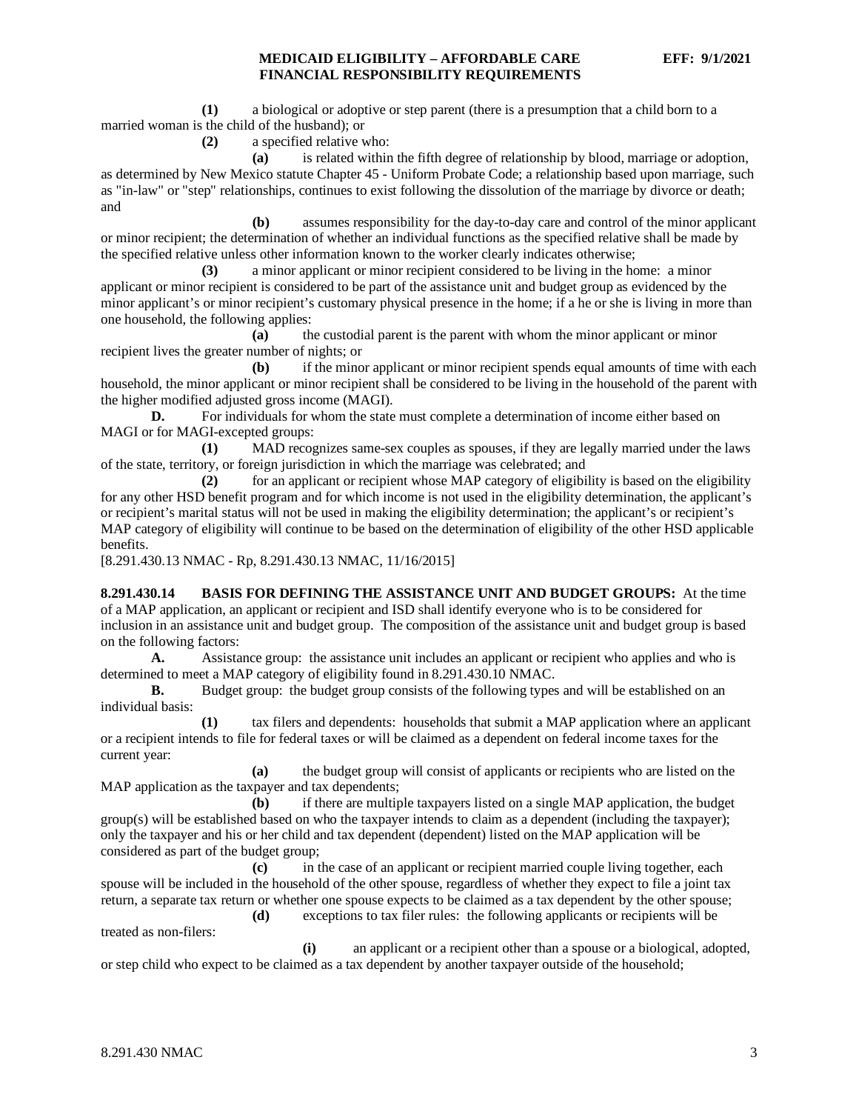**(1)** a biological or adoptive or step parent (there is a presumption that a child born to a married woman is the child of the husband); or

**(2)** a specified relative who:

**(a)** is related within the fifth degree of relationship by blood, marriage or adoption, as determined by New Mexico statute Chapter 45 - Uniform Probate Code; a relationship based upon marriage, such as "in-law" or "step" relationships, continues to exist following the dissolution of the marriage by divorce or death; and

**(b)** assumes responsibility for the day-to-day care and control of the minor applicant or minor recipient; the determination of whether an individual functions as the specified relative shall be made by the specified relative unless other information known to the worker clearly indicates otherwise;

**(3)** a minor applicant or minor recipient considered to be living in the home: a minor applicant or minor recipient is considered to be part of the assistance unit and budget group as evidenced by the minor applicant's or minor recipient's customary physical presence in the home; if a he or she is living in more than one household, the following applies:

**(a)** the custodial parent is the parent with whom the minor applicant or minor recipient lives the greater number of nights; or

**(b)** if the minor applicant or minor recipient spends equal amounts of time with each household, the minor applicant or minor recipient shall be considered to be living in the household of the parent with the higher modified adjusted gross income (MAGI).

**D.** For individuals for whom the state must complete a determination of income either based on MAGI or for MAGI-excepted groups:

**(1)** MAD recognizes same-sex couples as spouses, if they are legally married under the laws of the state, territory, or foreign jurisdiction in which the marriage was celebrated; and

**(2)** for an applicant or recipient whose MAP category of eligibility is based on the eligibility for any other HSD benefit program and for which income is not used in the eligibility determination, the applicant's or recipient's marital status will not be used in making the eligibility determination; the applicant's or recipient's MAP category of eligibility will continue to be based on the determination of eligibility of the other HSD applicable benefits.

[8.291.430.13 NMAC - Rp, 8.291.430.13 NMAC, 11/16/2015]

<span id="page-3-0"></span>**8.291.430.14 BASIS FOR DEFINING THE ASSISTANCE UNIT AND BUDGET GROUPS:** At the time of a MAP application, an applicant or recipient and ISD shall identify everyone who is to be considered for inclusion in an assistance unit and budget group. The composition of the assistance unit and budget group is based on the following factors:

**A.** Assistance group: the assistance unit includes an applicant or recipient who applies and who is determined to meet a MAP category of eligibility found in 8.291.430.10 NMAC.

**B.** Budget group: the budget group consists of the following types and will be established on an individual basis:

**(1)** tax filers and dependents: households that submit a MAP application where an applicant or a recipient intends to file for federal taxes or will be claimed as a dependent on federal income taxes for the current year:

**(a)** the budget group will consist of applicants or recipients who are listed on the MAP application as the taxpayer and tax dependents;

**(b)** if there are multiple taxpayers listed on a single MAP application, the budget group(s) will be established based on who the taxpayer intends to claim as a dependent (including the taxpayer); only the taxpayer and his or her child and tax dependent (dependent) listed on the MAP application will be considered as part of the budget group;

**(c)** in the case of an applicant or recipient married couple living together, each spouse will be included in the household of the other spouse, regardless of whether they expect to file a joint tax return, a separate tax return or whether one spouse expects to be claimed as a tax dependent by the other spouse;

**(d)** exceptions to tax filer rules: the following applicants or recipients will be treated as non-filers:

**(i)** an applicant or a recipient other than a spouse or a biological, adopted, or step child who expect to be claimed as a tax dependent by another taxpayer outside of the household;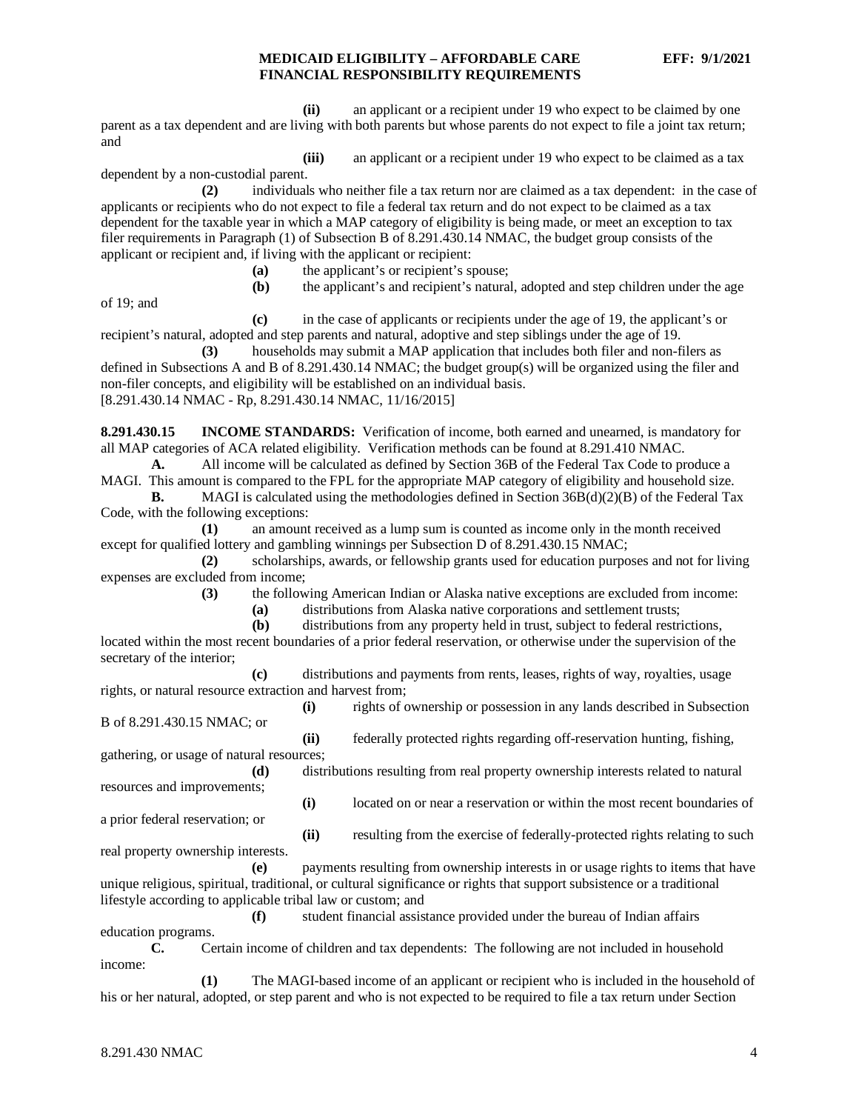**(ii)** an applicant or a recipient under 19 who expect to be claimed by one parent as a tax dependent and are living with both parents but whose parents do not expect to file a joint tax return; and

**(iii)** an applicant or a recipient under 19 who expect to be claimed as a tax dependent by a non-custodial parent.

**(2)** individuals who neither file a tax return nor are claimed as a tax dependent: in the case of applicants or recipients who do not expect to file a federal tax return and do not expect to be claimed as a tax dependent for the taxable year in which a MAP category of eligibility is being made, or meet an exception to tax filer requirements in Paragraph (1) of Subsection B of 8.291.430.14 NMAC, the budget group consists of the applicant or recipient and, if living with the applicant or recipient:

- **(a)** the applicant's or recipient's spouse;
- **(b)** the applicant's and recipient's natural, adopted and step children under the age

of 19; and

**(c)** in the case of applicants or recipients under the age of 19, the applicant's or recipient's natural, adopted and step parents and natural, adoptive and step siblings under the age of 19.

**(3)** households may submit a MAP application that includes both filer and non-filers as defined in Subsections A and B of 8.291.430.14 NMAC; the budget group(s) will be organized using the filer and non-filer concepts, and eligibility will be established on an individual basis. [8.291.430.14 NMAC - Rp, 8.291.430.14 NMAC, 11/16/2015]

<span id="page-4-0"></span>**8.291.430.15 INCOME STANDARDS:** Verification of income, both earned and unearned, is mandatory for all MAP categories of ACA related eligibility. Verification methods can be found at 8.291.410 NMAC.

**A.** All income will be calculated as defined by Section 36B of the Federal Tax Code to produce a MAGI. This amount is compared to the FPL for the appropriate MAP category of eligibility and household size.

**B.** MAGI is calculated using the methodologies defined in Section 36B(d)(2)(B) of the Federal Tax Code, with the following exceptions:

**(1)** an amount received as a lump sum is counted as income only in the month received except for qualified lottery and gambling winnings per Subsection D of 8.291.430.15 NMAC;

**(2)** scholarships, awards, or fellowship grants used for education purposes and not for living expenses are excluded from income;

**(3)** the following American Indian or Alaska native exceptions are excluded from income:

**(a)** distributions from Alaska native corporations and settlement trusts;

**(b)** distributions from any property held in trust, subject to federal restrictions, located within the most recent boundaries of a prior federal reservation, or otherwise under the supervision of the secretary of the interior;

**(c)** distributions and payments from rents, leases, rights of way, royalties, usage rights, or natural resource extraction and harvest from;

**(i)** rights of ownership or possession in any lands described in Subsection B of 8.291.430.15 NMAC; or

**(ii)** federally protected rights regarding off-reservation hunting, fishing, gathering, or usage of natural resources;

**(d)** distributions resulting from real property ownership interests related to natural resources and improvements;

**(i)** located on or near a reservation or within the most recent boundaries of a prior federal reservation; or

real property ownership interests.

**(ii)** resulting from the exercise of federally-protected rights relating to such

**(e)** payments resulting from ownership interests in or usage rights to items that have unique religious, spiritual, traditional, or cultural significance or rights that support subsistence or a traditional lifestyle according to applicable tribal law or custom; and

**(f)** student financial assistance provided under the bureau of Indian affairs

education programs.

**C.** Certain income of children and tax dependents: The following are not included in household income:

**(1)** The MAGI-based income of an applicant or recipient who is included in the household of his or her natural, adopted, or step parent and who is not expected to be required to file a tax return under Section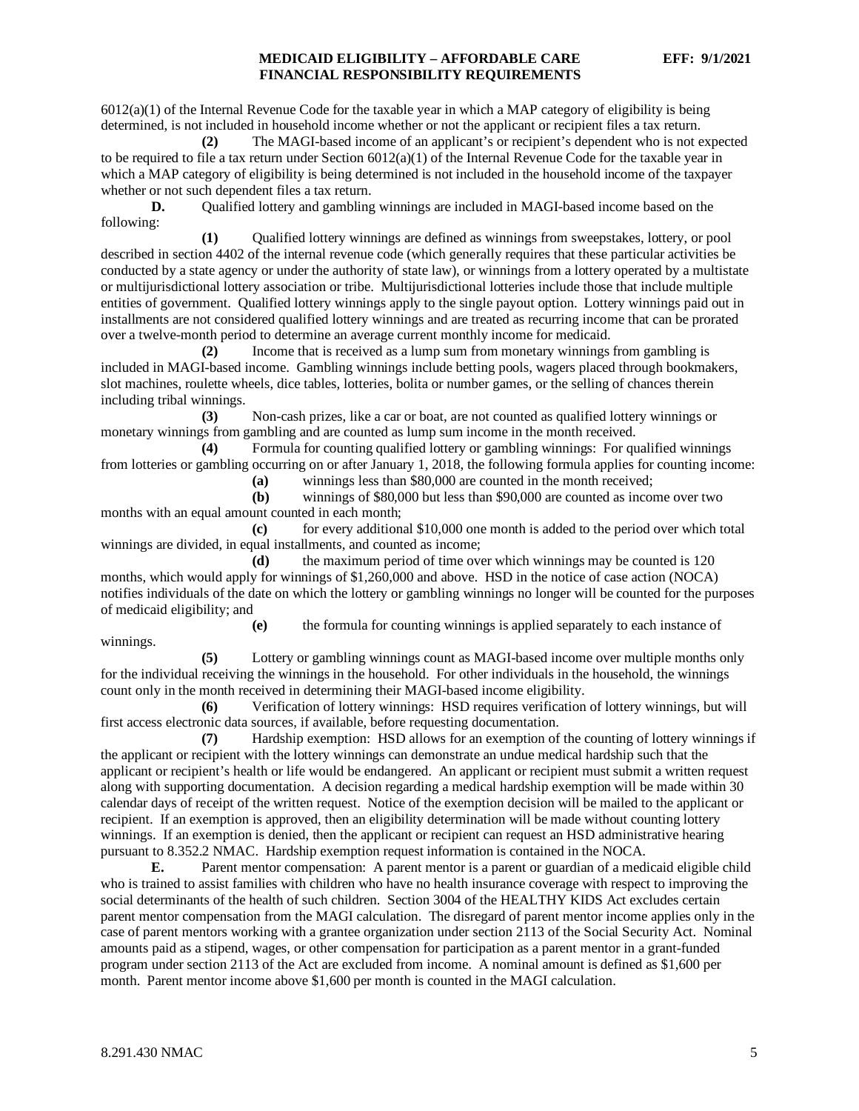$6012(a)(1)$  of the Internal Revenue Code for the taxable year in which a MAP category of eligibility is being determined, is not included in household income whether or not the applicant or recipient files a tax return.

**(2)** The MAGI-based income of an applicant's or recipient's dependent who is not expected to be required to file a tax return under Section  $6012(a)(1)$  of the Internal Revenue Code for the taxable year in which a MAP category of eligibility is being determined is not included in the household income of the taxpayer whether or not such dependent files a tax return.

**D.** Qualified lottery and gambling winnings are included in MAGI-based income based on the following:

**(1)** Qualified lottery winnings are defined as winnings from sweepstakes, lottery, or pool described in section 4402 of the internal revenue code (which generally requires that these particular activities be conducted by a state agency or under the authority of state law), or winnings from a lottery operated by a multistate or multijurisdictional lottery association or tribe. Multijurisdictional lotteries include those that include multiple entities of government. Qualified lottery winnings apply to the single payout option. Lottery winnings paid out in installments are not considered qualified lottery winnings and are treated as recurring income that can be prorated over a twelve-month period to determine an average current monthly income for medicaid.

**(2)** Income that is received as a lump sum from monetary winnings from gambling is included in MAGI-based income. Gambling winnings include betting pools, wagers placed through bookmakers, slot machines, roulette wheels, dice tables, lotteries, bolita or number games, or the selling of chances therein including tribal winnings.

**(3)** Non-cash prizes, like a car or boat, are not counted as qualified lottery winnings or monetary winnings from gambling and are counted as lump sum income in the month received.

**(4)** Formula for counting qualified lottery or gambling winnings: For qualified winnings from lotteries or gambling occurring on or after January 1, 2018, the following formula applies for counting income:

**(a)** winnings less than \$80,000 are counted in the month received;

**(b)** winnings of \$80,000 but less than \$90,000 are counted as income over two months with an equal amount counted in each month;

**(c)** for every additional \$10,000 one month is added to the period over which total winnings are divided, in equal installments, and counted as income;

**(d)** the maximum period of time over which winnings may be counted is 120 months, which would apply for winnings of \$1,260,000 and above. HSD in the notice of case action (NOCA) notifies individuals of the date on which the lottery or gambling winnings no longer will be counted for the purposes of medicaid eligibility; and

**(e)** the formula for counting winnings is applied separately to each instance of winnings.

**(5)** Lottery or gambling winnings count as MAGI-based income over multiple months only for the individual receiving the winnings in the household. For other individuals in the household, the winnings count only in the month received in determining their MAGI-based income eligibility.

**(6)** Verification of lottery winnings: HSD requires verification of lottery winnings, but will first access electronic data sources, if available, before requesting documentation.

**(7)** Hardship exemption: HSD allows for an exemption of the counting of lottery winnings if the applicant or recipient with the lottery winnings can demonstrate an undue medical hardship such that the applicant or recipient's health or life would be endangered. An applicant or recipient must submit a written request along with supporting documentation. A decision regarding a medical hardship exemption will be made within 30 calendar days of receipt of the written request. Notice of the exemption decision will be mailed to the applicant or recipient. If an exemption is approved, then an eligibility determination will be made without counting lottery winnings. If an exemption is denied, then the applicant or recipient can request an HSD administrative hearing pursuant to 8.352.2 NMAC. Hardship exemption request information is contained in the NOCA.

**E.** Parent mentor compensation: A parent mentor is a parent or guardian of a medicaid eligible child who is trained to assist families with children who have no health insurance coverage with respect to improving the social determinants of the health of such children. Section 3004 of the HEALTHY KIDS Act excludes certain parent mentor compensation from the MAGI calculation. The disregard of parent mentor income applies only in the case of parent mentors working with a grantee organization under section 2113 of the Social Security Act. Nominal amounts paid as a stipend, wages, or other compensation for participation as a parent mentor in a grant-funded program under section 2113 of the Act are excluded from income. A nominal amount is defined as \$1,600 per month. Parent mentor income above \$1,600 per month is counted in the MAGI calculation.